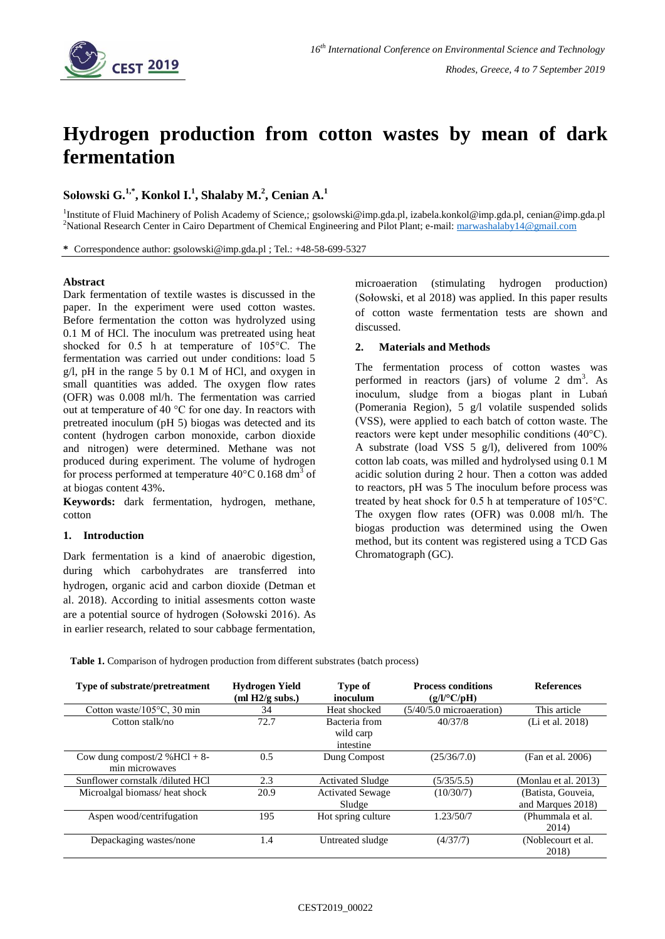

# **Hydrogen production from cotton wastes by mean of dark fermentation**

**Sołowski G. 1,\* , Konkol I.<sup>1</sup> , Shalaby M.<sup>2</sup> , Cenian A.<sup>1</sup>**

<sup>1</sup>Institute of Fluid Machinery of Polish Academy of Science,[; gsolowski@imp.gda.pl,](mailto:gsolowski@imp.gda.pl) izabela.konkol@imp.gda.pl[, cenian@imp.gda.pl](mailto:cenian@imp.gda.pl) <sup>2</sup>National Research Center in Cairo Department of Chemical Engineering and Pilot Plant; e-mail: [marwashalaby14@gmail.com](mailto:marwashalaby14@gmail.com)

**\*** Correspondence author: [gsolowski@imp.gda.pl](mailto:gsolowski@imp.gda.pl) ; Tel.: +48-58-699-5327

#### **Abstract**

Dark fermentation of textile wastes is discussed in the paper. In the experiment were used cotton wastes. Before fermentation the cotton was hydrolyzed using 0.1 M of HCl. The inoculum was pretreated using heat shocked for 0.5 h at temperature of 105°C. The fermentation was carried out under conditions: load 5 g/l, pH in the range 5 by 0.1 M of HCl, and oxygen in small quantities was added. The oxygen flow rates (OFR) was 0.008 ml/h. The fermentation was carried out at temperature of 40 °C for one day. In reactors with pretreated inoculum (pH 5) biogas was detected and its content (hydrogen carbon monoxide, carbon dioxide and nitrogen) were determined. Methane was not produced during experiment. The volume of hydrogen for process performed at temperature  $40^{\circ}$ C 0.168 dm<sup>3</sup> of at biogas content 43%.

**Keywords:** dark fermentation, hydrogen, methane, cotton

### **1. Introduction**

Dark fermentation is a kind of anaerobic digestion, during which carbohydrates are transferred into hydrogen, organic acid and carbon dioxide (Detman et al. 2018). According to initial assesments cotton waste are a potential source of hydrogen (Sołowski 2016). As in earlier research, related to sour cabbage fermentation,

microaeration (stimulating hydrogen production) (Sołowski, et al 2018) was applied. In this paper results of cotton waste fermentation tests are shown and discussed.

## **2. Materials and Methods**

The fermentation process of cotton wastes was performed in reactors (jars) of volume  $2 \text{ dm}^3$ . As inoculum, sludge from a biogas plant in Lubań (Pomerania Region), 5 g/l volatile suspended solids (VSS), were applied to each batch of cotton waste. The reactors were kept under mesophilic conditions (40°C). A substrate (load VSS 5 g/l), delivered from 100% cotton lab coats, was milled and hydrolysed using 0.1 M acidic solution during 2 hour. Then a cotton was added to reactors, pH was 5 The inoculum before process was treated by heat shock for 0.5 h at temperature of 105°C. The oxygen flow rates (OFR) was 0.008 ml/h. The biogas production was determined using the Owen method, but its content was registered using a TCD Gas Chromatograph (GC).

**Table 1.** Comparison of hydrogen production from different substrates (batch process)

| Type of substrate/pretreatment        | Hydrogen Yield<br>(ml H2/g subs.) | <b>Type of</b><br>inoculum | <b>Process conditions</b><br>$(g/l$ <sup>o</sup> $C$ /pH) | <b>References</b>    |
|---------------------------------------|-----------------------------------|----------------------------|-----------------------------------------------------------|----------------------|
| Cotton waste/ $105^{\circ}$ C, 30 min | 34                                | Heat shocked               | $(5/40/5.0$ microaeration)                                | This article         |
| Cotton stalk/no                       | 72.7                              | Bacteria from              | 40/37/8                                                   | (Li et al. 2018)     |
|                                       |                                   | wild carp                  |                                                           |                      |
|                                       |                                   | intestine                  |                                                           |                      |
| Cow dung compost/2 % HCl + 8-         | 0.5                               | Dung Compost               | (25/36/7.0)                                               | (Fan et al. 2006)    |
| min microwaves                        |                                   |                            |                                                           |                      |
| Sunflower cornstalk /diluted HCl      | 2.3                               | <b>Activated Sludge</b>    | (5/35/5.5)                                                | (Monlau et al. 2013) |
| Microalgal biomass/heat shock         | 20.9                              | <b>Activated Sewage</b>    | (10/30/7)                                                 | (Batista, Gouveia,   |
|                                       |                                   | Sludge                     |                                                           | and Marques 2018)    |
| Aspen wood/centrifugation             | 195                               | Hot spring culture         | 1.23/50/7                                                 | (Phummala et al.     |
|                                       |                                   |                            |                                                           | 2014)                |
| Depackaging wastes/none               | 1.4                               | Untreated sludge           | (4/37/7)                                                  | (Noblecourt et al.   |
|                                       |                                   |                            |                                                           | 2018)                |